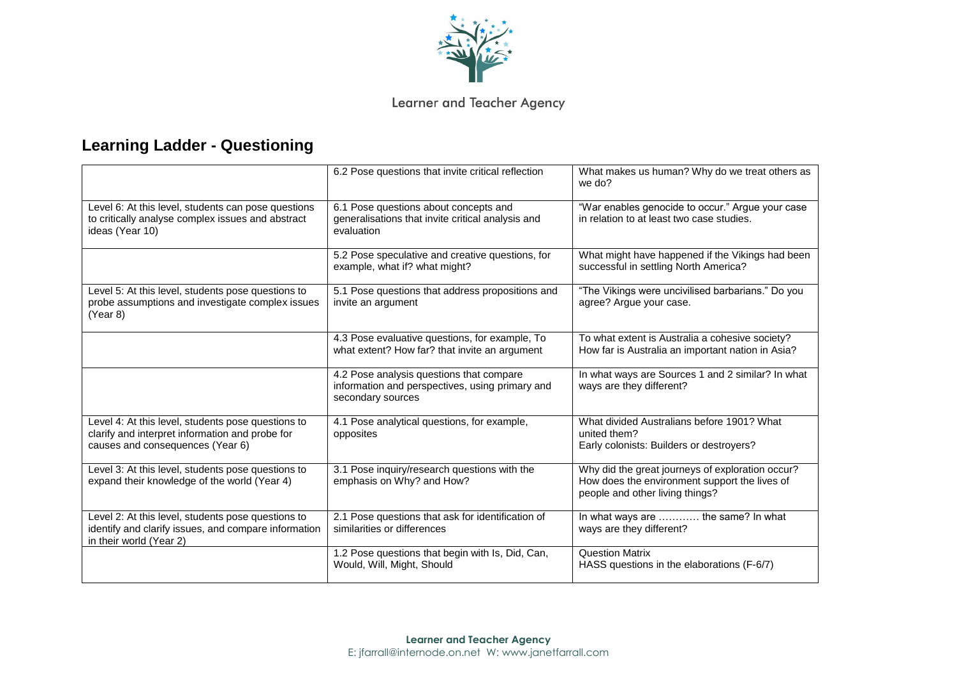

## Learner and Teacher Agency

## **Learning Ladder - Questioning**

|                                                                                                                                           | 6.2 Pose questions that invite critical reflection                                                               | What makes us human? Why do we treat others as<br>we do?                                                                             |
|-------------------------------------------------------------------------------------------------------------------------------------------|------------------------------------------------------------------------------------------------------------------|--------------------------------------------------------------------------------------------------------------------------------------|
| Level 6: At this level, students can pose questions<br>to critically analyse complex issues and abstract<br>ideas (Year 10)               | 6.1 Pose questions about concepts and<br>generalisations that invite critical analysis and<br>evaluation         | "War enables genocide to occur." Argue your case<br>in relation to at least two case studies.                                        |
|                                                                                                                                           | 5.2 Pose speculative and creative questions, for<br>example, what if? what might?                                | What might have happened if the Vikings had been<br>successful in settling North America?                                            |
| Level 5: At this level, students pose questions to<br>probe assumptions and investigate complex issues<br>(Year 8)                        | 5.1 Pose questions that address propositions and<br>invite an argument                                           | "The Vikings were uncivilised barbarians." Do you<br>agree? Argue your case.                                                         |
|                                                                                                                                           | 4.3 Pose evaluative questions, for example, To<br>what extent? How far? that invite an argument                  | To what extent is Australia a cohesive society?<br>How far is Australia an important nation in Asia?                                 |
|                                                                                                                                           | 4.2 Pose analysis questions that compare<br>information and perspectives, using primary and<br>secondary sources | In what ways are Sources 1 and 2 similar? In what<br>ways are they different?                                                        |
| Level 4: At this level, students pose questions to<br>clarify and interpret information and probe for<br>causes and consequences (Year 6) | 4.1 Pose analytical questions, for example,<br>opposites                                                         | What divided Australians before 1901? What<br>united them?<br>Early colonists: Builders or destroyers?                               |
| Level 3: At this level, students pose questions to<br>expand their knowledge of the world (Year 4)                                        | 3.1 Pose inquiry/research questions with the<br>emphasis on Why? and How?                                        | Why did the great journeys of exploration occur?<br>How does the environment support the lives of<br>people and other living things? |
| Level 2: At this level, students pose questions to<br>identify and clarify issues, and compare information<br>in their world (Year 2)     | 2.1 Pose questions that ask for identification of<br>similarities or differences                                 | In what ways are  the same? In what<br>ways are they different?                                                                      |
|                                                                                                                                           | 1.2 Pose questions that begin with Is, Did, Can,<br>Would, Will, Might, Should                                   | <b>Question Matrix</b><br>HASS questions in the elaborations (F-6/7)                                                                 |